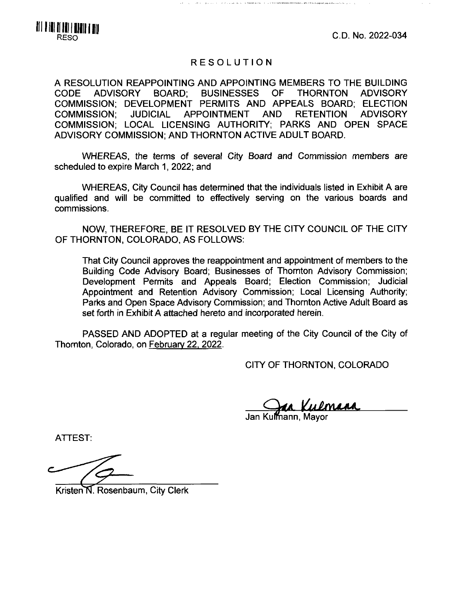C.D. No. 2022-034



## RESOLUTION

A RESOLUTION REAPPOINTING AND APPOINTING MEMBERS TO THE BUILDING CODE ADVISORY BOARD; BUSINESSES OF THORNTON ADVISORY COMMISSION: DEVELOPMENT PERMITS AND APPEALS BOARD; ELECTION COMMISSION; JUDICIAL APPOINTMENT AND RETENTION ADVISORY COMMISSION: LOCAL LICENSING AUTHORITY; PARKS AND OPEN SPACE ADVISORY COMMISSION: AND THORNTON ACTIVE ADULT BOARD.

WHEREAS, the terms of several City Board and Commission members are scheduled to expire March 1, 2022; and

WHEREAS, City Council has determined that the individuals listed in Exhibit A are qualified and will be committed to effectively serving on the various boards and commissions.

NOW, THEREFORE, BE IT RESOLVED BY THE CITY COUNCIL OF THE CITY OF THORNTON, COLORADO, AS FOLLOWS:

That City Council approves the reappointment and appointment of members to the Building Code Advisory Board; Businesses of Thornton Advisory Commission; Development Permits and Appeals Board; Election Commission; Judicial Appointment and Retention Advisory Commission; Local Licensing Authority: Parks and Open Space Advisory Commission; and Thornton Active Adult Board as set forth in Exhibit A attached hereto and incorporated herein.

PASSED AND ADOPTED at a regular meeting of the City Council of the City of Thornton, Colorado, on February 22, 2022.

CITY OF THORNTON, COLORADO

Jan Ku**iĭ**nann, Mayor

ATTEST:

Kristen<sup>'</sup>N. Rosenbaum, City Clerk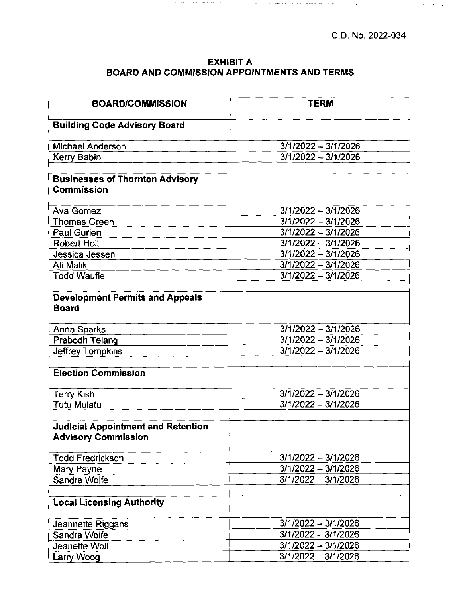$\tau$  is a  $\tau$  -  $\bar{\tau}$  -  $\bar{\tau}$  and  $\bar{\tau}$  are a second in

 $\Delta \sim 10$ 

## **EXHIBIT A BOARD AND COMMISSION APPOINTMENTS AND TERMS**

 $\langle \mathbf{v}, \mathbf{v} \rangle$  ,  $\langle \mathbf{v}, \mathbf{v} \rangle$  , where  $\langle \mathbf{v}, \mathbf{u} \rangle$ 

 $\alpha = \pi$  , as to require an extension of  $\alpha$ 

 $\mathcal{O}(N)$  . Then,  $\mathcal{O}(N)$  is a set of the result of  $\mathcal{O}(N)$  ,  $\mathcal{O}(N)$ 

| <b>BOARD/COMMISSION</b>                                                 | <b>TERM</b>           |
|-------------------------------------------------------------------------|-----------------------|
| <b>Building Code Advisory Board</b>                                     |                       |
| Michael Anderson                                                        | $3/1/2022 - 3/1/2026$ |
| Kerry Babin                                                             | $3/1/2022 - 3/1/2026$ |
|                                                                         |                       |
| <b>Businesses of Thornton Advisory</b><br>Commission                    |                       |
| <b>Ava Gomez</b>                                                        | $3/1/2022 - 3/1/2026$ |
| <b>Thomas Green</b>                                                     | $3/1/2022 - 3/1/2026$ |
| <b>Paul Gurien</b>                                                      | 3/1/2022 - 3/1/2026   |
| Robert Holt                                                             | $3/1/2022 - 3/1/2026$ |
| Jessica Jessen                                                          | $3/1/2022 - 3/1/2026$ |
| Ali Malik                                                               | $3/1/2022 - 3/1/2026$ |
| <b>Todd Waufle</b>                                                      | $3/1/2022 - 3/1/2026$ |
|                                                                         |                       |
| <b>Development Permits and Appeals</b><br><b>Board</b>                  |                       |
| Anna Sparks                                                             | $3/1/2022 - 3/1/2026$ |
| Prabodh Telang                                                          | $3/1/2022 - 3/1/2026$ |
| <b>Jeffrey Tompkins</b>                                                 | 3/1/2022 - 3/1/2026   |
|                                                                         |                       |
| <b>Election Commission</b>                                              |                       |
| <b>Terry Kish</b>                                                       | $3/1/2022 - 3/1/2026$ |
| Tutu Mulatu                                                             | 3/1/2022 - 3/1/2026   |
|                                                                         |                       |
| <b>Judicial Appointment and Retention</b><br><b>Advisory Commission</b> |                       |
| <b>Todd Fredrickson</b>                                                 | 3/1/2022 - 3/1/2026   |
| Mary Payne                                                              | $3/1/2022 - 3/1/2026$ |
| Sandra Wolfe                                                            | $3/1/2022 - 3/1/2026$ |
|                                                                         |                       |
| <b>Local Licensing Authority</b>                                        |                       |
| Jeannette Riggans                                                       | 3/1/2022 - 3/1/2026   |
| Sandra Wolfe                                                            | 3/1/2022 - 3/1/2026   |
| Jeanette Woll                                                           | $3/1/2022 - 3/1/2026$ |
| Larry Woog                                                              | $3/1/2022 - 3/1/2026$ |